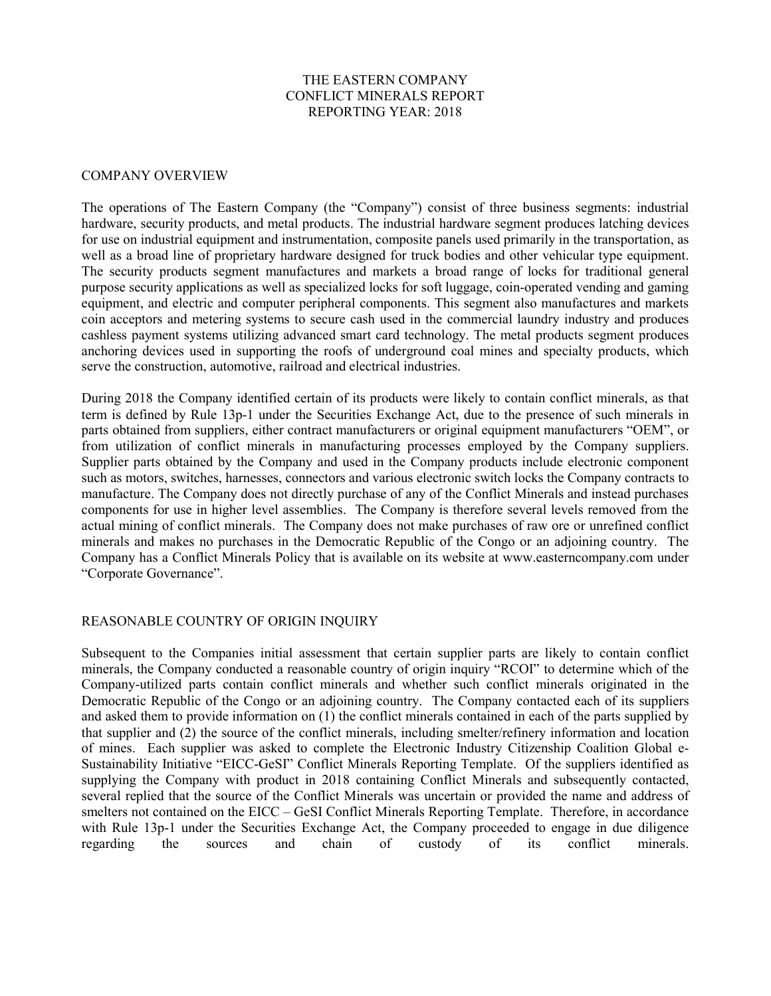### THE EASTERN COMPANY CONFLICT MINERALS REPORT REPORTING YEAR: 2018

#### COMPANY OVERVIEW

The operations of The Eastern Company (the "Company") consist of three business segments: industrial hardware, security products, and metal products. The industrial hardware segment produces latching devices for use on industrial equipment and instrumentation, composite panels used primarily in the transportation, as well as a broad line of proprietary hardware designed for truck bodies and other vehicular type equipment. The security products segment manufactures and markets a broad range of locks for traditional general purpose security applications as well as specialized locks for soft luggage, coin-operated vending and gaming equipment, and electric and computer peripheral components. This segment also manufactures and markets coin acceptors and metering systems to secure cash used in the commercial laundry industry and produces cashless payment systems utilizing advanced smart card technology. The metal products segment produces anchoring devices used in supporting the roofs of underground coal mines and specialty products, which serve the construction, automotive, railroad and electrical industries.

During 2018 the Company identified certain of its products were likely to contain conflict minerals, as that term is defined by Rule 13p-1 under the Securities Exchange Act, due to the presence of such minerals in parts obtained from suppliers, either contract manufacturers or original equipment manufacturers "OEM", or from utilization of conflict minerals in manufacturing processes employed by the Company suppliers. Supplier parts obtained by the Company and used in the Company products include electronic component such as motors, switches, harnesses, connectors and various electronic switch locks the Company contracts to manufacture. The Company does not directly purchase of any of the Conflict Minerals and instead purchases components for use in higher level assemblies. The Company is therefore several levels removed from the actual mining of conflict minerals. The Company does not make purchases of raw ore or unrefined conflict minerals and makes no purchases in the Democratic Republic of the Congo or an adjoining country. The Company has a Conflict Minerals Policy that is available on its website at www.easterncompany.com under "Corporate Governance".

## REASONABLE COUNTRY OF ORIGIN INQUIRY

Subsequent to the Companies initial assessment that certain supplier parts are likely to contain conflict minerals, the Company conducted a reasonable country of origin inquiry "RCOI" to determine which of the Company-utilized parts contain conflict minerals and whether such conflict minerals originated in the Democratic Republic of the Congo or an adjoining country. The Company contacted each of its suppliers and asked them to provide information on (1) the conflict minerals contained in each of the parts supplied by that supplier and (2) the source of the conflict minerals, including smelter/refinery information and location of mines. Each supplier was asked to complete the Electronic Industry Citizenship Coalition Global e-Sustainability Initiative "EICC-GeSI" Conflict Minerals Reporting Template. Of the suppliers identified as supplying the Company with product in 2018 containing Conflict Minerals and subsequently contacted, several replied that the source of the Conflict Minerals was uncertain or provided the name and address of smelters not contained on the EICC – GeSI Conflict Minerals Reporting Template. Therefore, in accordance with Rule 13p-1 under the Securities Exchange Act, the Company proceeded to engage in due diligence regarding the sources and chain of custody of its conflict minerals.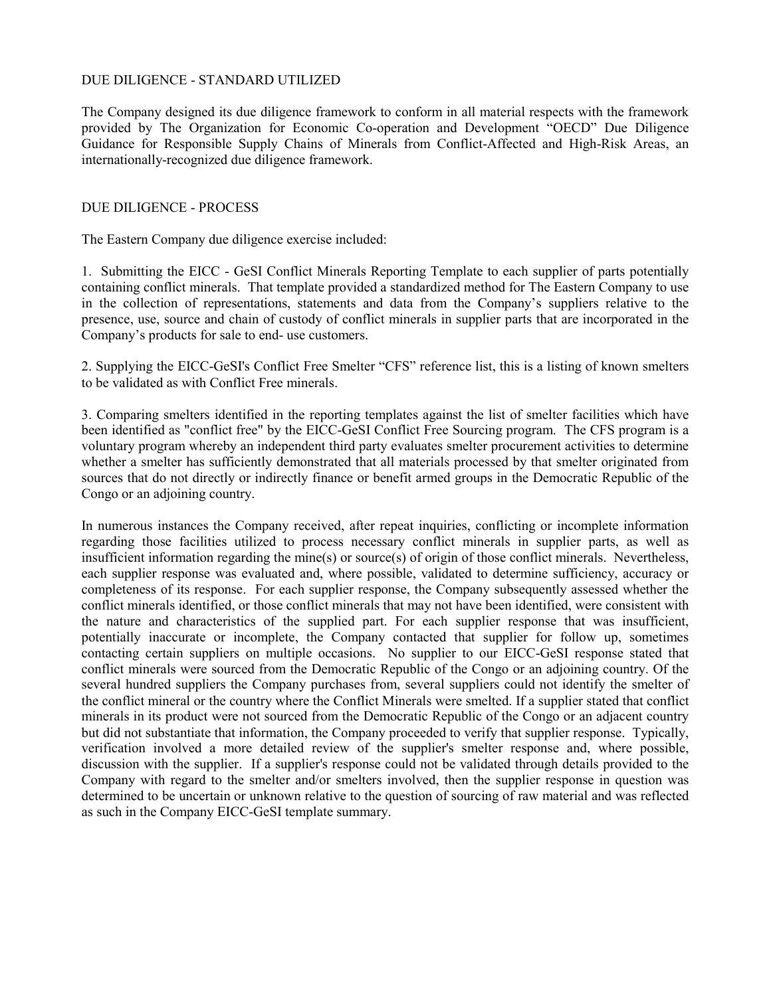## DUE DILIGENCE - STANDARD UTILIZED

The Company designed its due diligence framework to conform in all material respects with the framework provided by The Organization for Economic Co-operation and Development "OECD" Due Diligence Guidance for Responsible Supply Chains of Minerals from Conflict-Affected and High-Risk Areas, an internationally-recognized due diligence framework.

### DUE DILIGENCE - PROCESS

The Eastern Company due diligence exercise included:

1. Submitting the EICC - GeSI Conflict Minerals Reporting Template to each supplier of parts potentially containing conflict minerals. That template provided a standardized method for The Eastern Company to use in the collection of representations, statements and data from the Company's suppliers relative to the presence, use, source and chain of custody of conflict minerals in supplier parts that are incorporated in the Company's products for sale to end- use customers.

2. Supplying the EICC-GeSI's Conflict Free Smelter "CFS" reference list, this is a listing of known smelters to be validated as with Conflict Free minerals.

3. Comparing smelters identified in the reporting templates against the list of smelter facilities which have been identified as "conflict free" by the EICC-GeSI Conflict Free Sourcing program. The CFS program is a voluntary program whereby an independent third party evaluates smelter procurement activities to determine whether a smelter has sufficiently demonstrated that all materials processed by that smelter originated from sources that do not directly or indirectly finance or benefit armed groups in the Democratic Republic of the Congo or an adjoining country.

In numerous instances the Company received, after repeat inquiries, conflicting or incomplete information regarding those facilities utilized to process necessary conflict minerals in supplier parts, as well as insufficient information regarding the mine(s) or source(s) of origin of those conflict minerals. Nevertheless, each supplier response was evaluated and, where possible, validated to determine sufficiency, accuracy or completeness of its response. For each supplier response, the Company subsequently assessed whether the conflict minerals identified, or those conflict minerals that may not have been identified, were consistent with the nature and characteristics of the supplied part. For each supplier response that was insufficient, potentially inaccurate or incomplete, the Company contacted that supplier for follow up, sometimes contacting certain suppliers on multiple occasions. No supplier to our EICC-GeSI response stated that conflict minerals were sourced from the Democratic Republic of the Congo or an adjoining country. Of the several hundred suppliers the Company purchases from, several suppliers could not identify the smelter of the conflict mineral or the country where the Conflict Minerals were smelted. If a supplier stated that conflict minerals in its product were not sourced from the Democratic Republic of the Congo or an adjacent country but did not substantiate that information, the Company proceeded to verify that supplier response. Typically, verification involved a more detailed review of the supplier's smelter response and, where possible, discussion with the supplier. If a supplier's response could not be validated through details provided to the Company with regard to the smelter and/or smelters involved, then the supplier response in question was determined to be uncertain or unknown relative to the question of sourcing of raw material and was reflected as such in the Company EICC-GeSI template summary.